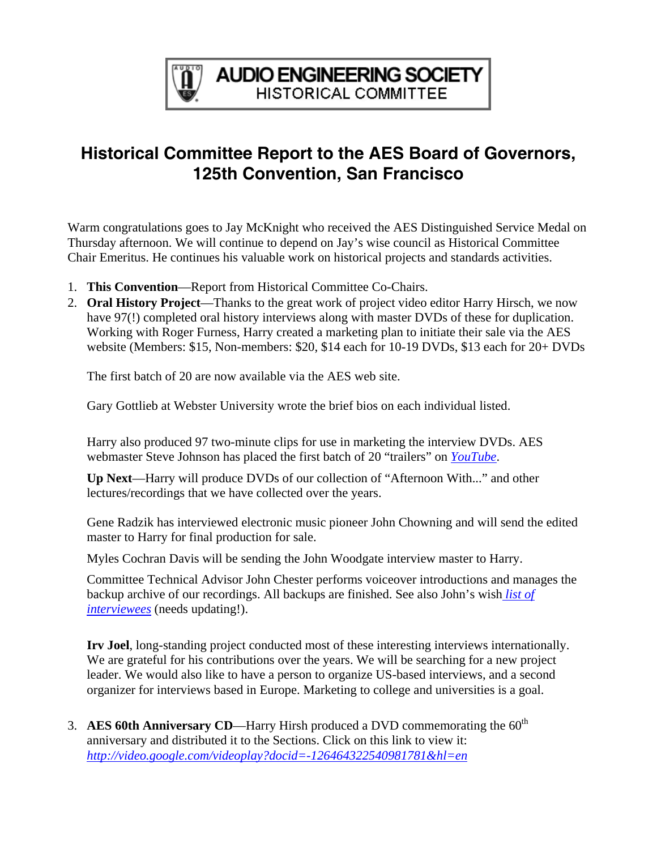

## **Historical Committee Report to the AES Board of Governors, 125th Convention, San Francisco**

Warm congratulations goes to Jay McKnight who received the AES Distinguished Service Medal on Thursday afternoon. We will continue to depend on Jay's wise council as Historical Committee Chair Emeritus. He continues his valuable work on historical projects and standards activities.

- 1. **This Convention**—Report from Historical Committee Co-Chairs.
- 2. **Oral History Project**—Thanks to the great work of project video editor Harry Hirsch, we now have 97(!) completed oral history interviews along with master DVDs of these for duplication. Working with Roger Furness, Harry created a marketing plan to initiate their sale via the AES website (Members: \$15, Non-members: \$20, \$14 each for 10-19 DVDs, \$13 each for 20+ DVDs

The first batch of 20 are now available via the AES web site.

Gary Gottlieb at Webster University wrote the brief bios on each individual listed.

Harry also produced 97 two-minute clips for use in marketing the interview DVDs. AES webmaster Steve Johnson has placed the first batch of 20 "trailers" on *[YouTube](http://uk.youtube.com/profile_videos?user=AESorg)*.

**Up Next**—Harry will produce DVDs of our collection of "Afternoon With..." and other lectures/recordings that we have collected over the years.

Gene Radzik has interviewed electronic music pioneer John Chowning and will send the edited master to Harry for final production for sale.

Myles Cochran Davis will be sending the John Woodgate interview master to Harry.

Committee Technical Advisor John Chester performs voiceover introductions and manages the backup archive of our recordings. All backups are finished. See also John's wish *[list of](http://www.aes.org/aeshc/docs/oralhist/interview.master.pub.040927a.pdf) [interviewees](http://www.aes.org/aeshc/docs/oralhist/interview.master.pub.040927a.pdf)* (needs updating!).

**Irv Joel**, long-standing project conducted most of these interesting interviews internationally. We are grateful for his contributions over the years. We will be searching for a new project leader. We would also like to have a person to organize US-based interviews, and a second organizer for interviews based in Europe. Marketing to college and universities is a goal.

3. **AES 60th Anniversary CD**—Harry Hirsh produced a DVD commemorating the  $60<sup>th</sup>$ anniversary and distributed it to the Sections. Click on this link to view it: *<http://video.google.com/videoplay?docid=-126464322540981781&hl=en>*